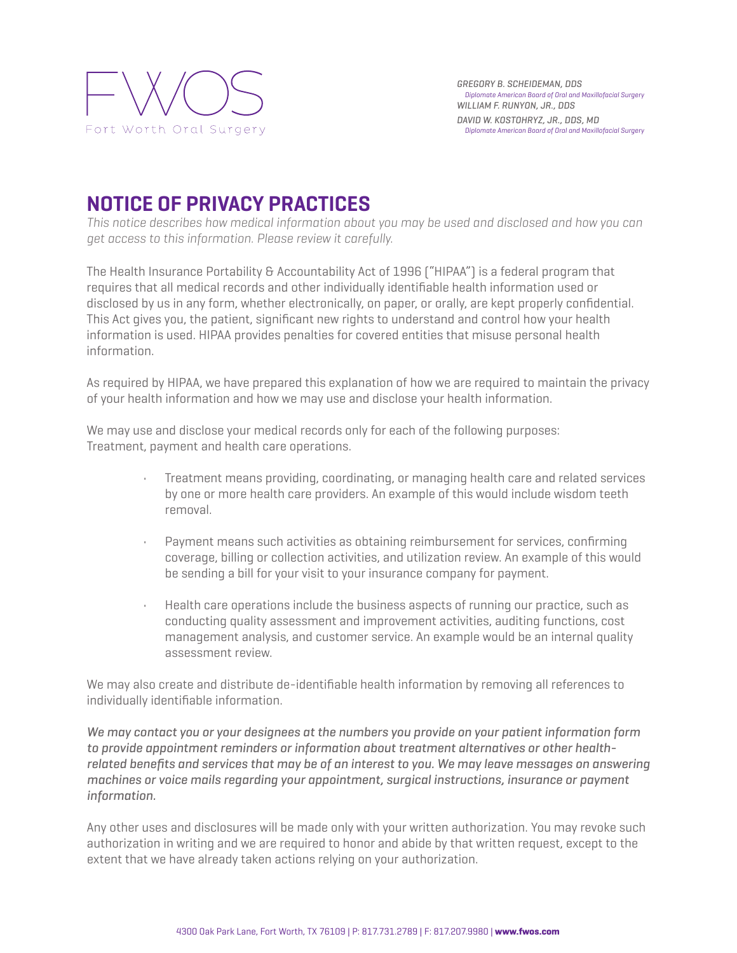

## **NOTICE OF PRIVACY PRACTICES**

*This notice describes how medical information about you may be used and disclosed and how you can get access to this information. Please review it carefully.*

The Health Insurance Portability & Accountability Act of 1996 ["HIPAA"] is a federal program that requires that all medical records and other individually identifiable health information used or disclosed by us in any form, whether electronically, on paper, or orally, are kept properly confidential. This Act gives you, the patient, significant new rights to understand and control how your health information is used. HIPAA provides penalties for covered entities that misuse personal health information.

As required by HIPAA, we have prepared this explanation of how we are required to maintain the privacy of your health information and how we may use and disclose your health information.

We may use and disclose your medical records only for each of the following purposes: Treatment, payment and health care operations.

- Treatment means providing, coordinating, or managing health care and related services by one or more health care providers. An example of this would include wisdom teeth removal.
- Payment means such activities as obtaining reimbursement for services, confirming coverage, billing or collection activities, and utilization review. An example of this would be sending a bill for your visit to your insurance company for payment.
- Health care operations include the business aspects of running our practice, such as conducting quality assessment and improvement activities, auditing functions, cost management analysis, and customer service. An example would be an internal quality assessment review.

We may also create and distribute de-identifiable health information by removing all references to individually identifiable information.

*We may contact you or your designees at the numbers you provide on your patient information form to provide appointment reminders or information about treatment alternatives or other healthrelated benefits and services that may be of an interest to you. We may leave messages on answering machines or voice mails regarding your appointment, surgical instructions, insurance or payment information.*

Any other uses and disclosures will be made only with your written authorization. You may revoke such authorization in writing and we are required to honor and abide by that written request, except to the extent that we have already taken actions relying on your authorization.